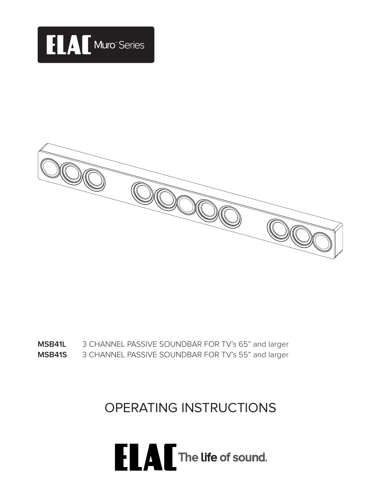



**MSB41S** 3 CHANNEL PASSIVE SOUNDBAR FOR TV's 55" and larger **MSB41L** 3 CHANNEL PASSIVE SOUNDBAR FOR TV's 65" and larger

OPERATING INSTRUCTIONS

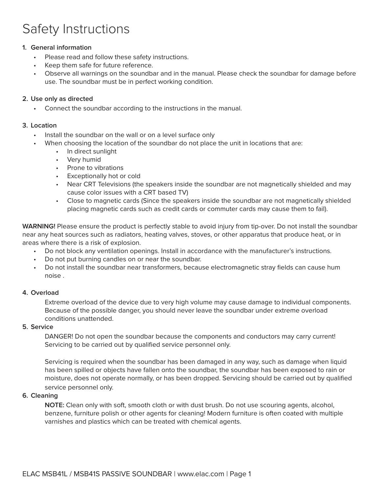## Safety Instructions

#### **1. General information**

- Please read and follow these safety instructions.
- Keep them safe for future reference.
- Observe all warnings on the soundbar and in the manual. Please check the soundbar for damage before use. The soundbar must be in perfect working condition.

#### **2. Use only as directed**

• Connect the soundbar according to the instructions in the manual.

#### **3. Location**

- Install the soundbar on the wall or on a level surface only
- When choosing the location of the soundbar do not place the unit in locations that are:
	- In direct sunlight
	- Very humid
	- Prone to vibrations
	- Exceptionally hot or cold
	- Near CRT Televisions (the speakers inside the soundbar are not magnetically shielded and may cause color issues with a CRT based TV)
	- Close to magnetic cards (Since the speakers inside the soundbar are not magnetically shielded placing magnetic cards such as credit cards or commuter cards may cause them to fail).

**WARNING!** Please ensure the product is perfectly stable to avoid injury from tip-over. Do not install the soundbar near any heat sources such as radiators, heating valves, stoves, or other apparatus that produce heat, or in areas where there is a risk of explosion.

- Do not block any ventilation openings. Install in accordance with the manufacturer's instructions.
- Do not put burning candles on or near the soundbar.
- Do not install the soundbar near transformers, because electromagnetic stray fields can cause hum noise .

#### **4. Overload**

Extreme overload of the device due to very high volume may cause damage to individual components. Because of the possible danger, you should never leave the soundbar under extreme overload conditions unattended.

#### **5. Service**

DANGER! Do not open the soundbar because the components and conductors may carry current! Servicing to be carried out by qualified service personnel only.

Servicing is required when the soundbar has been damaged in any way, such as damage when liquid has been spilled or objects have fallen onto the soundbar, the soundbar has been exposed to rain or moisture, does not operate normally, or has been dropped. Servicing should be carried out by qualified service personnel only.

#### **6. Cleaning**

**NOTE:** Clean only with soft, smooth cloth or with dust brush. Do not use scouring agents, alcohol, benzene, furniture polish or other agents for cleaning! Modern furniture is often coated with multiple varnishes and plastics which can be treated with chemical agents.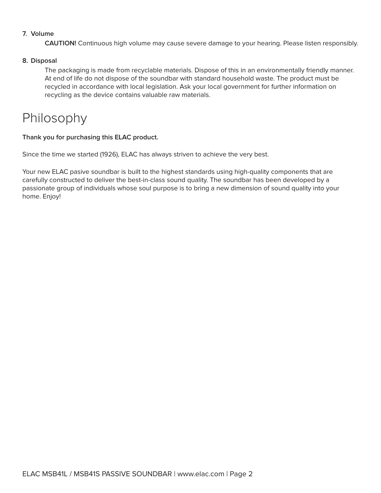#### **7. Volume**

**CAUTION!** Continuous high volume may cause severe damage to your hearing. Please listen responsibly.

#### **8. Disposal**

The packaging is made from recyclable materials. Dispose of this in an environmentally friendly manner. At end of life do not dispose of the soundbar with standard household waste. The product must be recycled in accordance with local legislation. Ask your local government for further information on recycling as the device contains valuable raw materials.

### Philosophy

#### **Thank you for purchasing this ELAC product.**

Since the time we started (1926), ELAC has always striven to achieve the very best.

Your new ELAC pasive soundbar is built to the highest standards using high-quality components that are carefully constructed to deliver the best-in-class sound quality. The soundbar has been developed by a passionate group of individuals whose soul purpose is to bring a new dimension of sound quality into your home. Enjoy!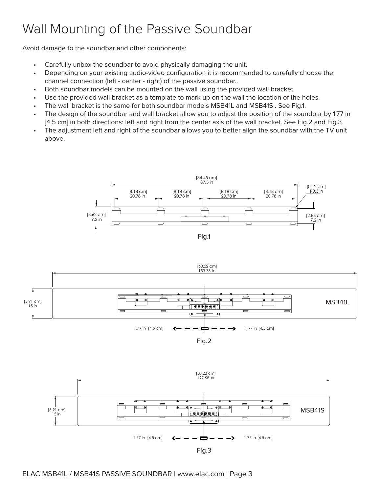# Wall Mounting of the Passive Soundbar

Avoid damage to the soundbar and other components:

- Carefully unbox the soundbar to avoid physically damaging the unit.
- Depending on your existing audio-video configuration it is recommended to carefully choose the channel connection (left - center - right) of the passive soundbar..
- Both soundbar models can be mounted on the wall using the provided wall bracket.
- Use the provided wall bracket as a template to mark up on the wall the location of the holes.
- The wall bracket is the same for both soundbar models MSB41L and MSB41S . See Fig.1.
- The design of the soundbar and wall bracket allow you to adjust the position of the soundbar by 1.77 in [4.5 cm] in both directions: left and right from the center axis of the wall bracket. See Fig.2 and Fig.3.
- The adjustment left and right of the soundbar allows you to better align the soundbar with the TV unit above.





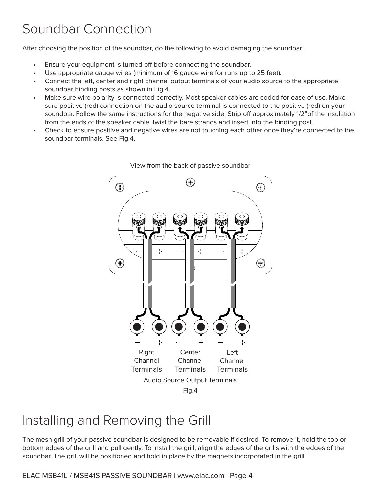## Soundbar Connection

After choosing the position of the soundbar, do the following to avoid damaging the soundbar:

- Ensure your equipment is turned off before connecting the soundbar.
- Use appropriate gauge wires (minimum of 16 gauge wire for runs up to 25 feet).
- Connect the left, center and right channel output terminals of your audio source to the appropriate soundbar binding posts as shown in Fig.4.
- Make sure wire polarity is connected correctly. Most speaker cables are coded for ease of use. Make sure positive (red) connection on the audio source terminal is connected to the positive (red) on your soundbar. Follow the same instructions for the negative side. Strip off approximately 1/2"of the insulation from the ends of the speaker cable, twist the bare strands and insert into the binding post.
- Check to ensure positive and negative wires are not touching each other once they're connected to the soundbar terminals. See Fig.4.





## Installing and Removing the Grill

The mesh grill of your passive soundbar is designed to be removable if desired. To remove it, hold the top or bottom edges of the grill and pull gently. To install the grill, align the edges of the grills with the edges of the soundbar. The grill will be positioned and hold in place by the magnets incorporated in the grill.

ELAC MSB41L / MSB41S PASSIVE SOUNDBAR | www.elac.com | Page 4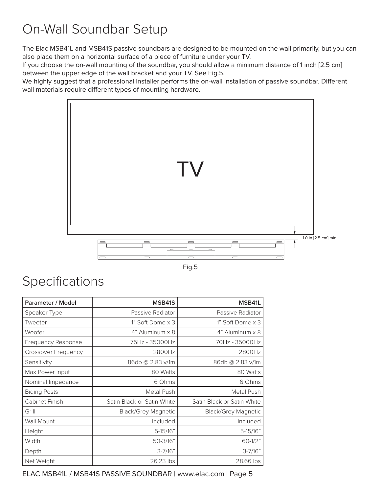# On-Wall Soundbar Setup

The Elac MSB41L and MSB41S passive soundbars are designed to be mounted on the wall primarily, but you can also place them on a horizontal surface of a piece of furniture under your TV.

If you choose the on-wall mounting of the soundbar, you should allow a minimum distance of 1 inch [2.5 cm] between the upper edge of the wall bracket and your TV. See Fig.5.

We highly suggest that a professional installer performs the on-wall installation of passive soundbar. Different wall materials require different types of mounting hardware.



Fig.5

### Specifications

| Parameter / Model          | MSB41S                     | MSB41L                     |
|----------------------------|----------------------------|----------------------------|
| Speaker Type               | Passive Radiator           | Passive Radiator           |
| Tweeter                    | 1" Soft Dome x 3           | 1" Soft Dome x 3           |
| Woofer                     | 4" Aluminum x 8            | $4"$ Aluminum $\times$ 8   |
| <b>Frequency Response</b>  | 75Hz - 35000Hz             | 70Hz - 35000Hz             |
| <b>Crossover Frequency</b> | 2800Hz                     | 2800Hz                     |
| Sensitivity                | 86db @ 2.83 v/1m           | 86db @ 2.83 v/1m           |
| Max Power Input            | 80 Watts                   | 80 Watts                   |
| Nominal Impedance          | 6 Ohms                     | 6 Ohms                     |
| <b>Biding Posts</b>        | Metal Push                 | Metal Push                 |
| Cabinet Finish             | Satin Black or Satin White | Satin Black or Satin White |
| Grill                      | <b>Black/Grey Magnetic</b> | <b>Black/Grey Magnetic</b> |
| <b>Wall Mount</b>          | Included                   | Included                   |
| Height                     | $5 - 15/16"$               | $5-15/16"$                 |
| Width                      | 50-3/16"                   | $60 - 1/2"$                |
| Depth                      | $3 - 7/16"$                | $3 - 7/16"$                |
| Net Weight                 | 26.23 lbs                  | 28.66 lbs                  |

ELAC MSB41L / MSB41S PASSIVE SOUNDBAR | www.elac.com | Page 5